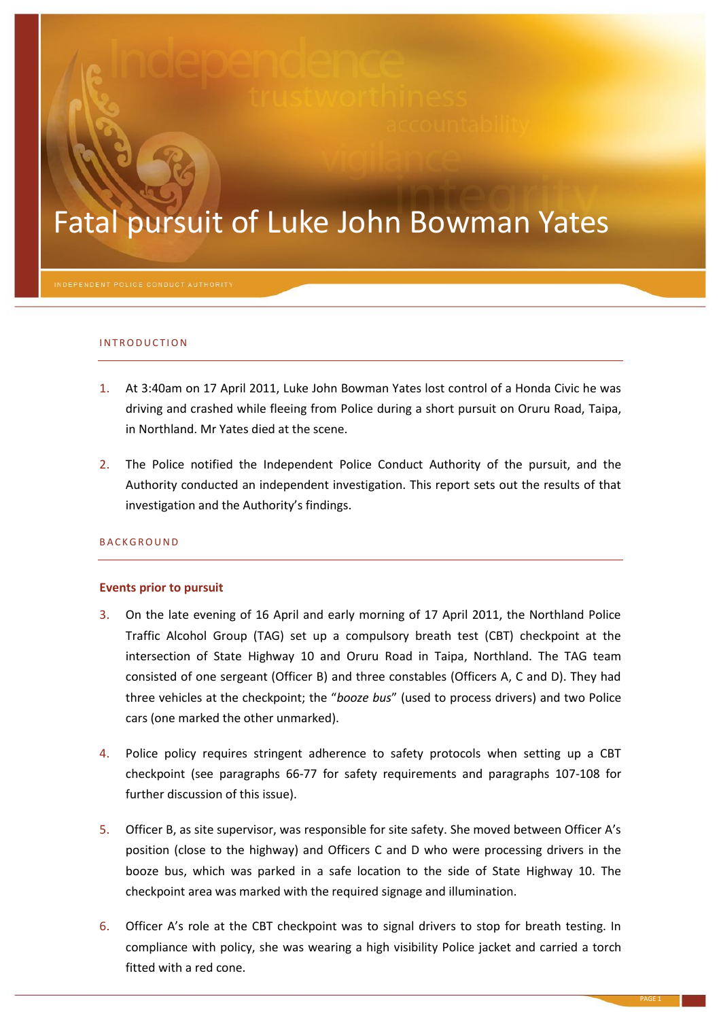# Fatal pursuit of Luke John Bowman Yates

# I N T R O D U C T IO N

- 1. At 3:40am on 17 April 2011, Luke John Bowman Yates lost control of a Honda Civic he was driving and crashed while fleeing from Police during a short pursuit on Oruru Road, Taipa, in Northland. Mr Yates died at the scene.
- 2. The Police notified the Independent Police Conduct Authority of the pursuit, and the Authority conducted an independent investigation. This report sets out the results of that investigation and the Authority's findings.

# B A C K G R O U N D

# **Events prior to pursuit**

- 3. On the late evening of 16 April and early morning of 17 April 2011, the Northland Police Traffic Alcohol Group (TAG) set up a compulsory breath test (CBT) checkpoint at the intersection of State Highway 10 and Oruru Road in Taipa, Northland. The TAG team consisted of one sergeant (Officer B) and three constables (Officers A, C and D). They had three vehicles at the checkpoint; the "*booze bus*" (used to process drivers) and two Police cars (one marked the other unmarked).
- 4. Police policy requires stringent adherence to safety protocols when setting up a CBT checkpoint (see paragraphs [66](#page-9-0)[-77](#page-11-0) for safety requirements and paragraphs [107](#page-15-0)[-108](#page-16-0) for further discussion of this issue).
- 5. Officer B, as site supervisor, was responsible for site safety. She moved between Officer A's position (close to the highway) and Officers C and D who were processing drivers in the booze bus, which was parked in a safe location to the side of State Highway 10. The checkpoint area was marked with the required signage and illumination.
- <span id="page-0-0"></span>6. Officer A's role at the CBT checkpoint was to signal drivers to stop for breath testing. In compliance with policy, she was wearing a high visibility Police jacket and carried a torch fitted with a red cone.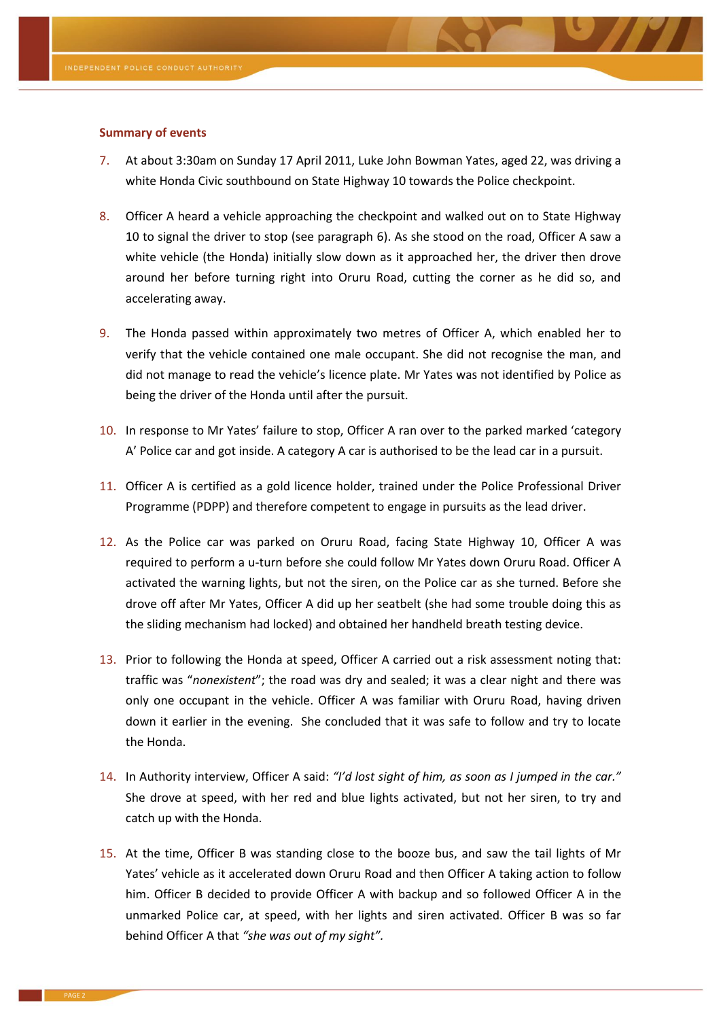#### **Summary of events**

- 7. At about 3:30am on Sunday 17 April 2011, Luke John Bowman Yates, aged 22, was driving a white Honda Civic southbound on State Highway 10 towards the Police checkpoint.
- 8. Officer A heard a vehicle approaching the checkpoint and walked out on to State Highway 10 to signal the driver to stop (see paragraph [6\)](#page-0-0). As she stood on the road, Officer A saw a white vehicle (the Honda) initially slow down as it approached her, the driver then drove around her before turning right into Oruru Road, cutting the corner as he did so, and accelerating away.
- 9. The Honda passed within approximately two metres of Officer A, which enabled her to verify that the vehicle contained one male occupant. She did not recognise the man, and did not manage to read the vehicle's licence plate. Mr Yates was not identified by Police as being the driver of the Honda until after the pursuit.
- 10. In response to Mr Yates' failure to stop, Officer A ran over to the parked marked 'category A' Police car and got inside. A category A car is authorised to be the lead car in a pursuit.
- 11. Officer A is certified as a gold licence holder, trained under the Police Professional Driver Programme (PDPP) and therefore competent to engage in pursuits as the lead driver.
- 12. As the Police car was parked on Oruru Road, facing State Highway 10, Officer A was required to perform a u-turn before she could follow Mr Yates down Oruru Road. Officer A activated the warning lights, but not the siren, on the Police car as she turned. Before she drove off after Mr Yates, Officer A did up her seatbelt (she had some trouble doing this as the sliding mechanism had locked) and obtained her handheld breath testing device.
- 13. Prior to following the Honda at speed, Officer A carried out a risk assessment noting that: traffic was "*nonexistent*"; the road was dry and sealed; it was a clear night and there was only one occupant in the vehicle. Officer A was familiar with Oruru Road, having driven down it earlier in the evening. She concluded that it was safe to follow and try to locate the Honda.
- <span id="page-1-0"></span>14. In Authority interview, Officer A said: *"I'd lost sight of him, as soon as I jumped in the car."* She drove at speed, with her red and blue lights activated, but not her siren, to try and catch up with the Honda.
- <span id="page-1-1"></span>15. At the time, Officer B was standing close to the booze bus, and saw the tail lights of Mr Yates' vehicle as it accelerated down Oruru Road and then Officer A taking action to follow him. Officer B decided to provide Officer A with backup and so followed Officer A in the unmarked Police car, at speed, with her lights and siren activated. Officer B was so far behind Officer A that *"she was out of my sight".*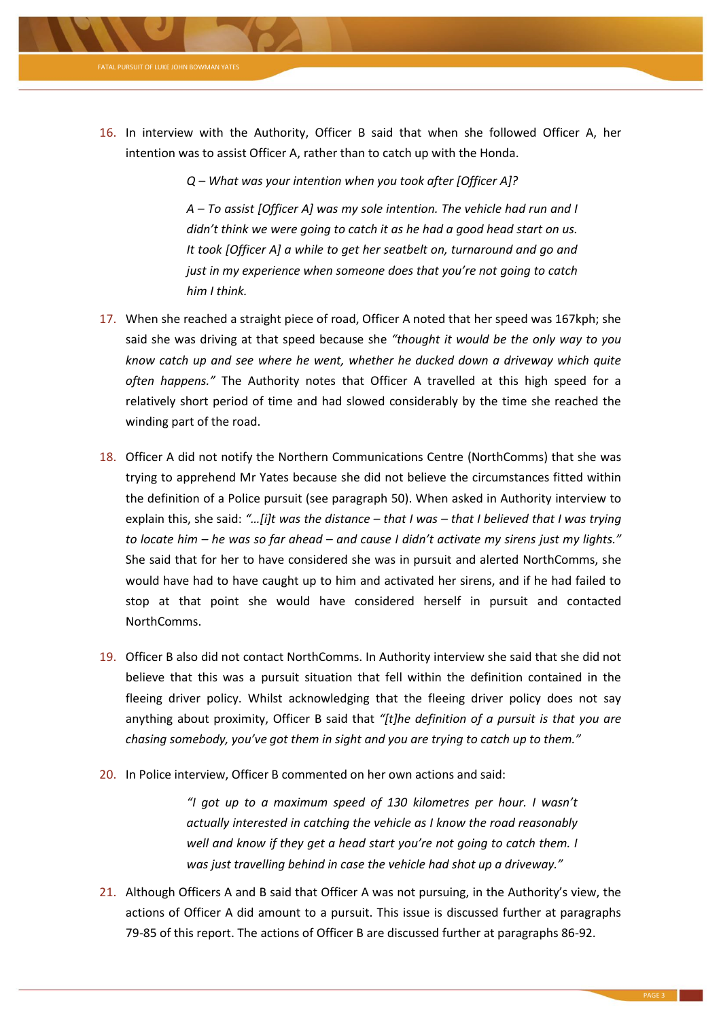

16. In interview with the Authority, Officer B said that when she followed Officer A, her intention was to assist Officer A, rather than to catch up with the Honda.

*Q – What was your intention when you took after [Officer A]?*

*A – To assist [Officer A] was my sole intention. The vehicle had run and I didn't think we were going to catch it as he had a good head start on us. It took [Officer A] a while to get her seatbelt on, turnaround and go and just in my experience when someone does that you're not going to catch him I think.*

- <span id="page-2-0"></span>17. When she reached a straight piece of road, Officer A noted that her speed was 167kph; she said she was driving at that speed because she *"thought it would be the only way to you know catch up and see where he went, whether he ducked down a driveway which quite often happens."* The Authority notes that Officer A travelled at this high speed for a relatively short period of time and had slowed considerably by the time she reached the winding part of the road.
- <span id="page-2-1"></span>18. Officer A did not notify the Northern Communications Centre (NorthComms) that she was trying to apprehend Mr Yates because she did not believe the circumstances fitted within the definition of a Police pursuit (see paragraph [50\)](#page-6-0). When asked in Authority interview to explain this, she said: *"…[i]t was the distance – that I was – that I believed that I was trying to locate him – he was so far ahead – and cause I didn't activate my sirens just my lights."* She said that for her to have considered she was in pursuit and alerted NorthComms, she would have had to have caught up to him and activated her sirens, and if he had failed to stop at that point she would have considered herself in pursuit and contacted NorthComms.
- 19. Officer B also did not contact NorthComms. In Authority interview she said that she did not believe that this was a pursuit situation that fell within the definition contained in the fleeing driver policy. Whilst acknowledging that the fleeing driver policy does not say anything about proximity, Officer B said that *"[t]he definition of a pursuit is that you are chasing somebody, you've got them in sight and you are trying to catch up to them."*
- 20. In Police interview, Officer B commented on her own actions and said:

*"I got up to a maximum speed of 130 kilometres per hour. I wasn't actually interested in catching the vehicle as I know the road reasonably well and know if they get a head start you're not going to catch them. I was just travelling behind in case the vehicle had shot up a driveway."*

21. Although Officers A and B said that Officer A was not pursuing, in the Authority's view, the actions of Officer A did amount to a pursuit. This issue is discussed further at paragraphs [79](#page-11-1)[-85](#page-12-0) of this report. The actions of Officer B are discussed further at paragraphs [86](#page-12-1)[-92.](#page-13-0)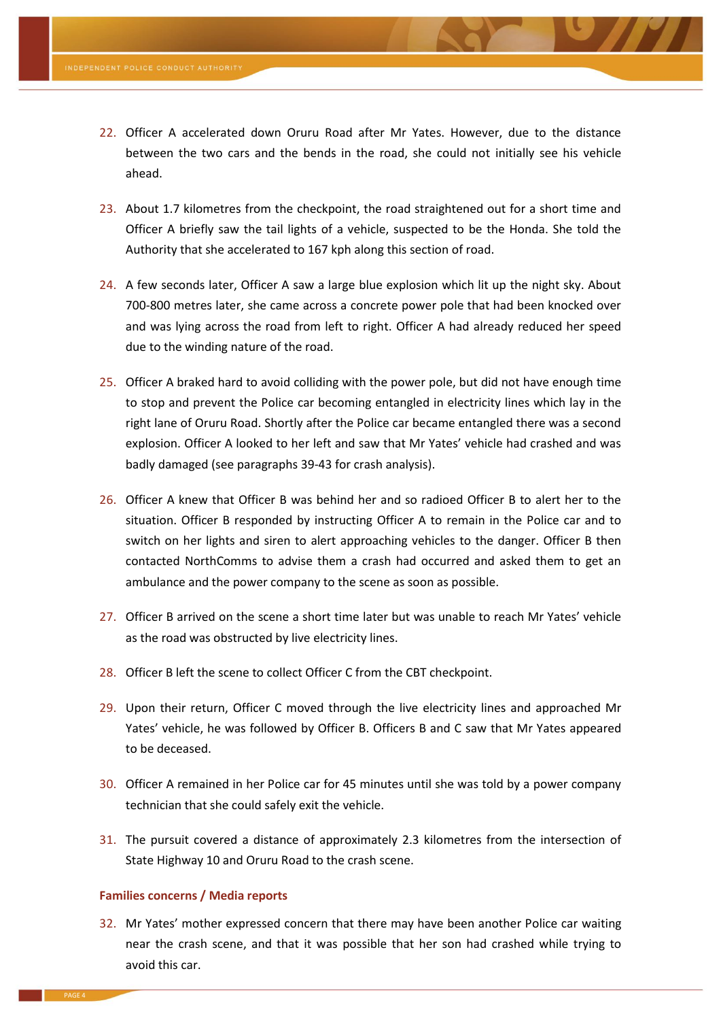- 22. Officer A accelerated down Oruru Road after Mr Yates. However, due to the distance between the two cars and the bends in the road, she could not initially see his vehicle ahead.
- <span id="page-3-0"></span>23. About 1.7 kilometres from the checkpoint, the road straightened out for a short time and Officer A briefly saw the tail lights of a vehicle, suspected to be the Honda. She told the Authority that she accelerated to 167 kph along this section of road.
- 24. A few seconds later, Officer A saw a large blue explosion which lit up the night sky. About 700-800 metres later, she came across a concrete power pole that had been knocked over and was lying across the road from left to right. Officer A had already reduced her speed due to the winding nature of the road.
- <span id="page-3-1"></span>25. Officer A braked hard to avoid colliding with the power pole, but did not have enough time to stop and prevent the Police car becoming entangled in electricity lines which lay in the right lane of Oruru Road. Shortly after the Police car became entangled there was a second explosion. Officer A looked to her left and saw that Mr Yates' vehicle had crashed and was badly damaged (see paragraph[s 39](#page-4-0)[-43](#page-5-0) for crash analysis).
- 26. Officer A knew that Officer B was behind her and so radioed Officer B to alert her to the situation. Officer B responded by instructing Officer A to remain in the Police car and to switch on her lights and siren to alert approaching vehicles to the danger. Officer B then contacted NorthComms to advise them a crash had occurred and asked them to get an ambulance and the power company to the scene as soon as possible.
- 27. Officer B arrived on the scene a short time later but was unable to reach Mr Yates' vehicle as the road was obstructed by live electricity lines.
- 28. Officer B left the scene to collect Officer C from the CBT checkpoint.
- 29. Upon their return, Officer C moved through the live electricity lines and approached Mr Yates' vehicle, he was followed by Officer B. Officers B and C saw that Mr Yates appeared to be deceased.
- 30. Officer A remained in her Police car for 45 minutes until she was told by a power company technician that she could safely exit the vehicle.
- 31. The pursuit covered a distance of approximately 2.3 kilometres from the intersection of State Highway 10 and Oruru Road to the crash scene.

#### **Families concerns / Media reports**

32. Mr Yates' mother expressed concern that there may have been another Police car waiting near the crash scene, and that it was possible that her son had crashed while trying to avoid this car.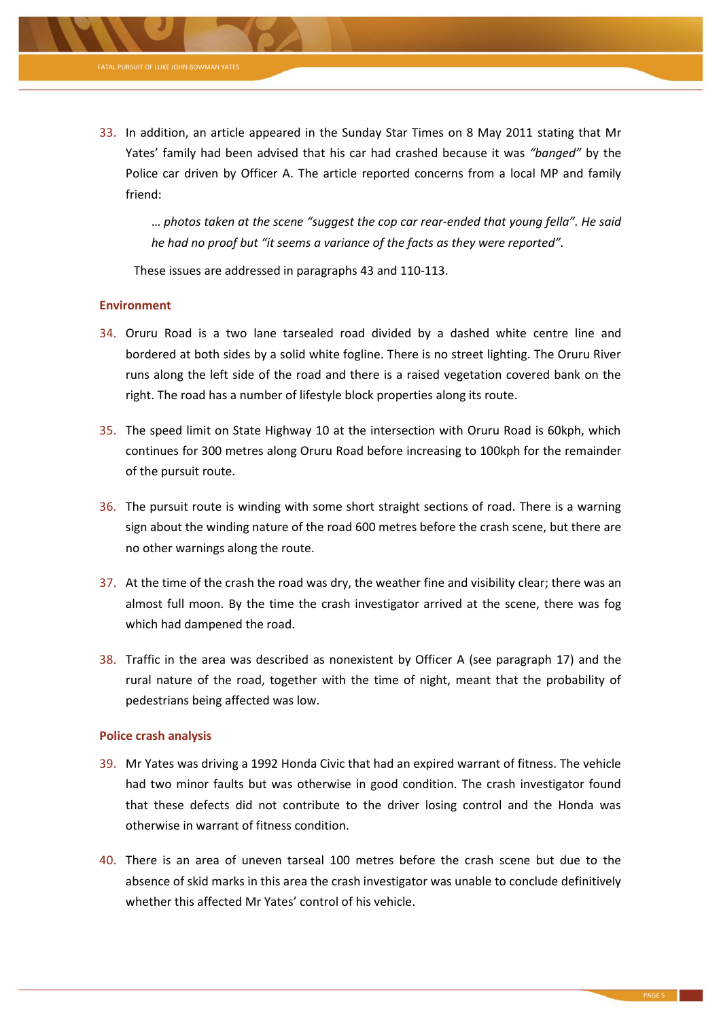… *photos taken at the scene "suggest the cop car rear-ended that young fella". He said he had no proof but "it seems a variance of the facts as they were reported".*

These issues are addressed in paragraphs [43](#page-5-0) an[d 110-](#page-16-1)[113.](#page-16-2)

# **Environment**

FATAL PURSUIT OF LUKE JOHN BOWMAN YATES

- 34. Oruru Road is a two lane tarsealed road divided by a dashed white centre line and bordered at both sides by a solid white fogline. There is no street lighting. The Oruru River runs along the left side of the road and there is a raised vegetation covered bank on the right. The road has a number of lifestyle block properties along its route.
- 35. The speed limit on State Highway 10 at the intersection with Oruru Road is 60kph, which continues for 300 metres along Oruru Road before increasing to 100kph for the remainder of the pursuit route.
- 36. The pursuit route is winding with some short straight sections of road. There is a warning sign about the winding nature of the road 600 metres before the crash scene, but there are no other warnings along the route.
- 37. At the time of the crash the road was dry, the weather fine and visibility clear; there was an almost full moon. By the time the crash investigator arrived at the scene, there was fog which had dampened the road.
- 38. Traffic in the area was described as nonexistent by Officer A (see paragraph [17\)](#page-2-0) and the rural nature of the road, together with the time of night, meant that the probability of pedestrians being affected was low.

# **Police crash analysis**

- <span id="page-4-0"></span>39. Mr Yates was driving a 1992 Honda Civic that had an expired warrant of fitness. The vehicle had two minor faults but was otherwise in good condition. The crash investigator found that these defects did not contribute to the driver losing control and the Honda was otherwise in warrant of fitness condition.
- 40. There is an area of uneven tarseal 100 metres before the crash scene but due to the absence of skid marks in this area the crash investigator was unable to conclude definitively whether this affected Mr Yates' control of his vehicle.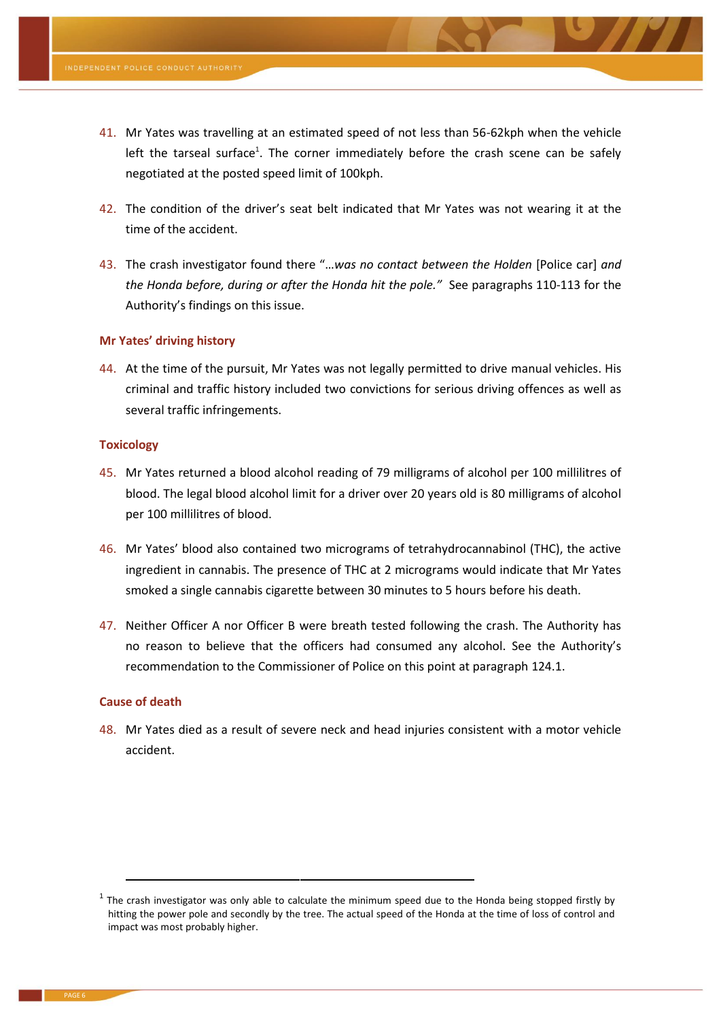- 41. Mr Yates was travelling at an estimated speed of not less than 56-62kph when the vehicle left the tarseal surface<sup>1</sup>. The corner immediately before the crash scene can be safely negotiated at the posted speed limit of 100kph.
- 42. The condition of the driver's seat belt indicated that Mr Yates was not wearing it at the time of the accident.
- <span id="page-5-0"></span>43. The crash investigator found there "…*was no contact between the Holden* [Police car] *and the Honda before, during or after the Honda hit the pole."* See paragraph[s 110-](#page-16-1)[113](#page-16-2) for the Authority's findings on this issue.

# **Mr Yates' driving history**

44. At the time of the pursuit, Mr Yates was not legally permitted to drive manual vehicles. His criminal and traffic history included two convictions for serious driving offences as well as several traffic infringements.

# **Toxicology**

- 45. Mr Yates returned a blood alcohol reading of 79 milligrams of alcohol per 100 millilitres of blood. The legal blood alcohol limit for a driver over 20 years old is 80 milligrams of alcohol per 100 millilitres of blood.
- 46. Mr Yates' blood also contained two micrograms of tetrahydrocannabinol (THC), the active ingredient in cannabis. The presence of THC at 2 micrograms would indicate that Mr Yates smoked a single cannabis cigarette between 30 minutes to 5 hours before his death.
- 47. Neither Officer A nor Officer B were breath tested following the crash. The Authority has no reason to believe that the officers had consumed any alcohol. See the Authority's recommendation to the Commissioner of Police on this point at paragraph [124.1.](#page-18-0)

# **Cause of death**

**.** 

48. Mr Yates died as a result of severe neck and head injuries consistent with a motor vehicle accident.

 $<sup>1</sup>$  The crash investigator was only able to calculate the minimum speed due to the Honda being stopped firstly by</sup> hitting the power pole and secondly by the tree. The actual speed of the Honda at the time of loss of control and impact was most probably higher.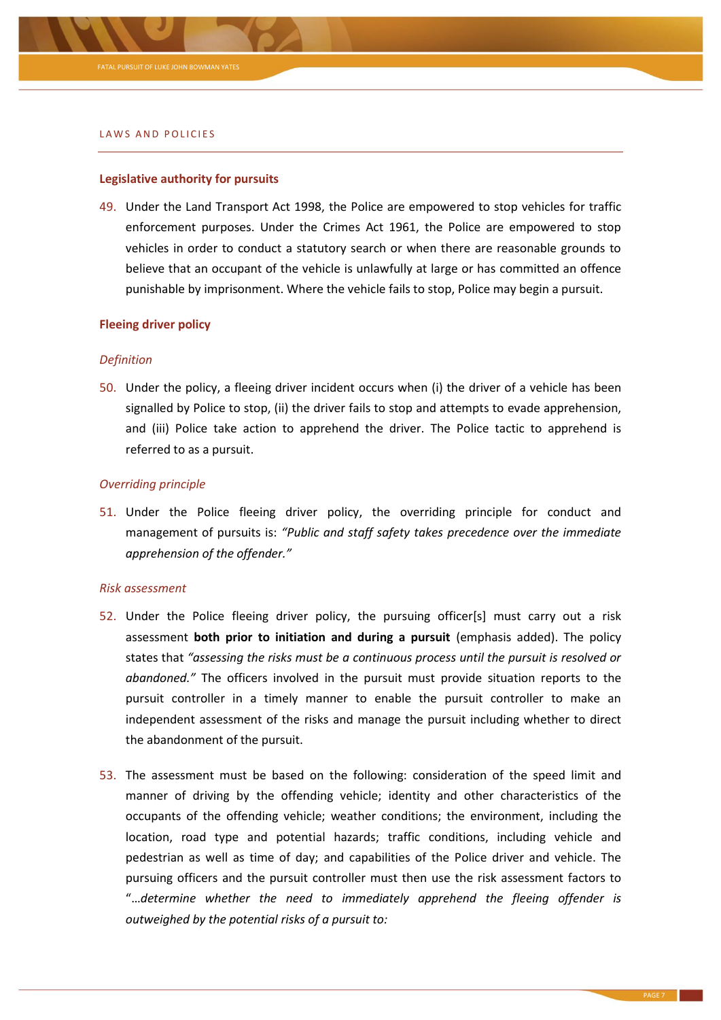

#### LAWS AND POLICIES

#### **Legislative authority for pursuits**

49. Under the Land Transport Act 1998, the Police are empowered to stop vehicles for traffic enforcement purposes. Under the Crimes Act 1961, the Police are empowered to stop vehicles in order to conduct a statutory search or when there are reasonable grounds to believe that an occupant of the vehicle is unlawfully at large or has committed an offence punishable by imprisonment. Where the vehicle fails to stop, Police may begin a pursuit.

#### **Fleeing driver policy**

#### *Definition*

<span id="page-6-0"></span>50. Under the policy, a fleeing driver incident occurs when (i) the driver of a vehicle has been signalled by Police to stop, (ii) the driver fails to stop and attempts to evade apprehension, and (iii) Police take action to apprehend the driver. The Police tactic to apprehend is referred to as a pursuit.

# *Overriding principle*

51. Under the Police fleeing driver policy, the overriding principle for conduct and management of pursuits is: *"Public and staff safety takes precedence over the immediate apprehension of the offender."*

#### *Risk assessment*

- <span id="page-6-1"></span>52. Under the Police fleeing driver policy, the pursuing officer[s] must carry out a risk assessment **both prior to initiation and during a pursuit** (emphasis added). The policy states that *"assessing the risks must be a continuous process until the pursuit is resolved or abandoned."* The officers involved in the pursuit must provide situation reports to the pursuit controller in a timely manner to enable the pursuit controller to make an independent assessment of the risks and manage the pursuit including whether to direct the abandonment of the pursuit.
- 53. The assessment must be based on the following: consideration of the speed limit and manner of driving by the offending vehicle; identity and other characteristics of the occupants of the offending vehicle; weather conditions; the environment, including the location, road type and potential hazards; traffic conditions, including vehicle and pedestrian as well as time of day; and capabilities of the Police driver and vehicle. The pursuing officers and the pursuit controller must then use the risk assessment factors to "…*determine whether the need to immediately apprehend the fleeing offender is outweighed by the potential risks of a pursuit to:*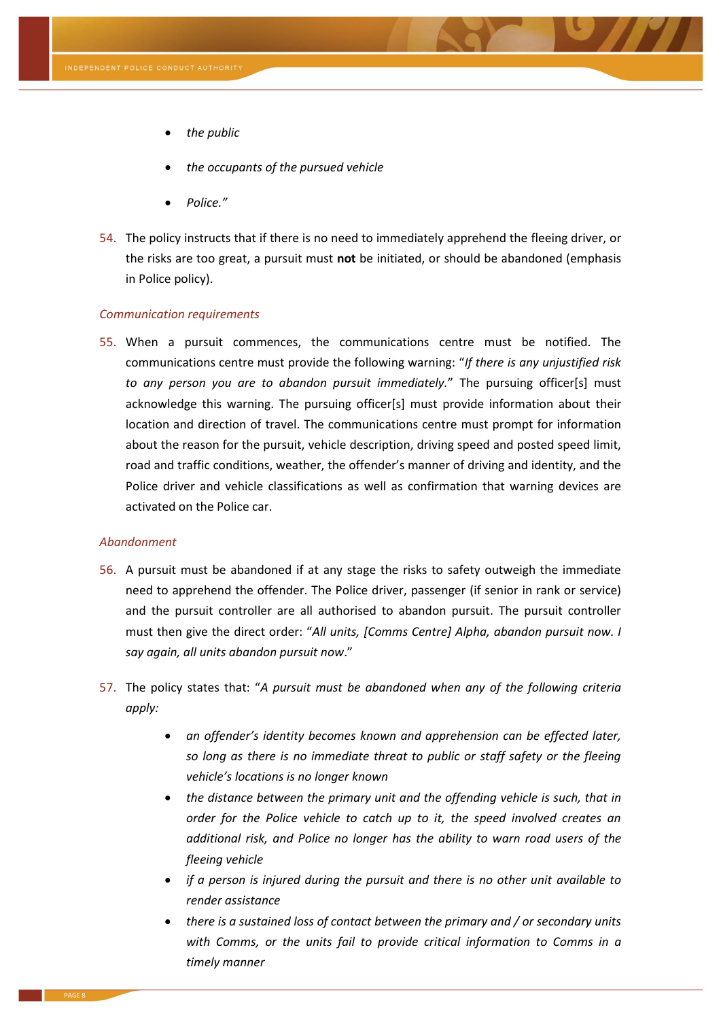- *the public*
- *the occupants of the pursued vehicle*
- *Police."*
- <span id="page-7-1"></span>54. The policy instructs that if there is no need to immediately apprehend the fleeing driver, or the risks are too great, a pursuit must **not** be initiated, or should be abandoned (emphasis in Police policy).

# *Communication requirements*

<span id="page-7-0"></span>55. When a pursuit commences, the communications centre must be notified. The communications centre must provide the following warning: "*If there is any unjustified risk to any person you are to abandon pursuit immediately.*" The pursuing officer[s] must acknowledge this warning. The pursuing officer[s] must provide information about their location and direction of travel. The communications centre must prompt for information about the reason for the pursuit, vehicle description, driving speed and posted speed limit, road and traffic conditions, weather, the offender's manner of driving and identity, and the Police driver and vehicle classifications as well as confirmation that warning devices are activated on the Police car.

#### *Abandonment*

- 56. A pursuit must be abandoned if at any stage the risks to safety outweigh the immediate need to apprehend the offender. The Police driver, passenger (if senior in rank or service) and the pursuit controller are all authorised to abandon pursuit. The pursuit controller must then give the direct order: "*All units, [Comms Centre] Alpha, abandon pursuit now. I say again, all units abandon pursuit now*."
- <span id="page-7-2"></span>57. The policy states that: "*A pursuit must be abandoned when any of the following criteria apply:*
	- *an offender's identity becomes known and apprehension can be effected later, so long as there is no immediate threat to public or staff safety or the fleeing vehicle's locations is no longer known*
	- *the distance between the primary unit and the offending vehicle is such, that in order for the Police vehicle to catch up to it, the speed involved creates an additional risk, and Police no longer has the ability to warn road users of the fleeing vehicle*
	- *if a person is injured during the pursuit and there is no other unit available to render assistance*
	- *there is a sustained loss of contact between the primary and / or secondary units*  with Comms, or the units fail to provide critical information to Comms in a *timely manner*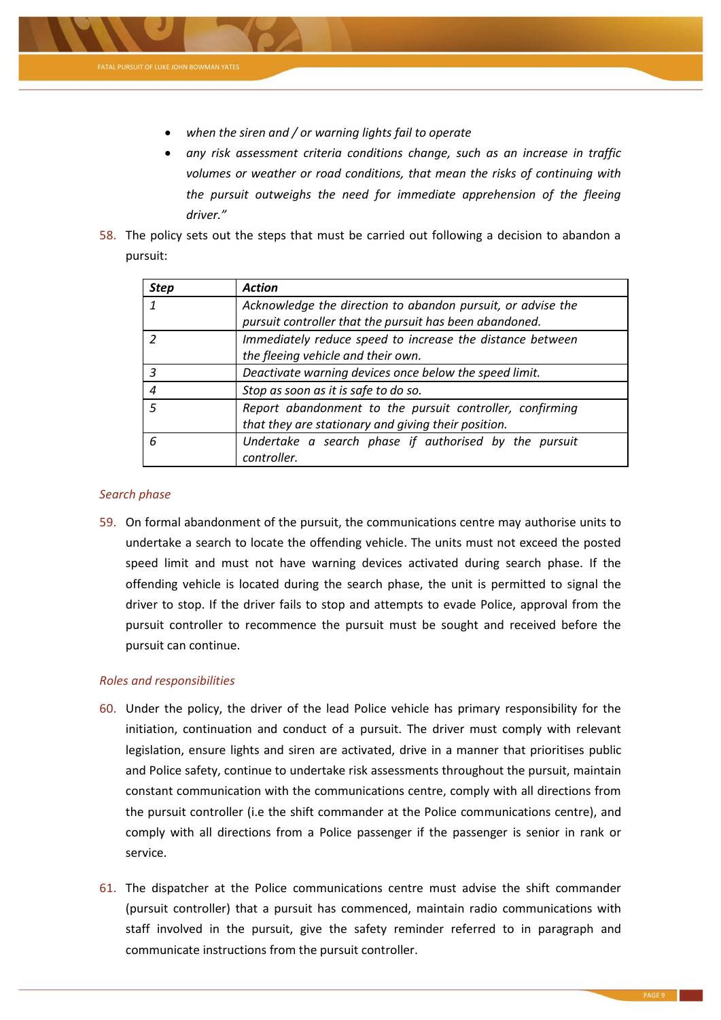

- *when the siren and / or warning lights fail to operate*
- *any risk assessment criteria conditions change, such as an increase in traffic volumes or weather or road conditions, that mean the risks of continuing with the pursuit outweighs the need for immediate apprehension of the fleeing driver."*
- 58. The policy sets out the steps that must be carried out following a decision to abandon a pursuit:

| <b>Step</b>      | <b>Action</b>                                               |
|------------------|-------------------------------------------------------------|
|                  | Acknowledge the direction to abandon pursuit, or advise the |
|                  | pursuit controller that the pursuit has been abandoned.     |
|                  | Immediately reduce speed to increase the distance between   |
|                  | the fleeing vehicle and their own.                          |
| 3                | Deactivate warning devices once below the speed limit.      |
| $\boldsymbol{4}$ | Stop as soon as it is safe to do so.                        |
| $\sqrt{2}$       | Report abandonment to the pursuit controller, confirming    |
|                  | that they are stationary and giving their position.         |
| 6                | Undertake a search phase if authorised by the pursuit       |
|                  | controller.                                                 |

# *Search phase*

59. On formal abandonment of the pursuit, the communications centre may authorise units to undertake a search to locate the offending vehicle. The units must not exceed the posted speed limit and must not have warning devices activated during search phase. If the offending vehicle is located during the search phase, the unit is permitted to signal the driver to stop. If the driver fails to stop and attempts to evade Police, approval from the pursuit controller to recommence the pursuit must be sought and received before the pursuit can continue.

# *Roles and responsibilities*

- 60. Under the policy, the driver of the lead Police vehicle has primary responsibility for the initiation, continuation and conduct of a pursuit. The driver must comply with relevant legislation, ensure lights and siren are activated, drive in a manner that prioritises public and Police safety, continue to undertake risk assessments throughout the pursuit, maintain constant communication with the communications centre, comply with all directions from the pursuit controller (i.e the shift commander at the Police communications centre), and comply with all directions from a Police passenger if the passenger is senior in rank or service.
- 61. The dispatcher at the Police communications centre must advise the shift commander (pursuit controller) that a pursuit has commenced, maintain radio communications with staff involved in the pursuit, give the safety reminder referred to in paragraph and communicate instructions from the pursuit controller.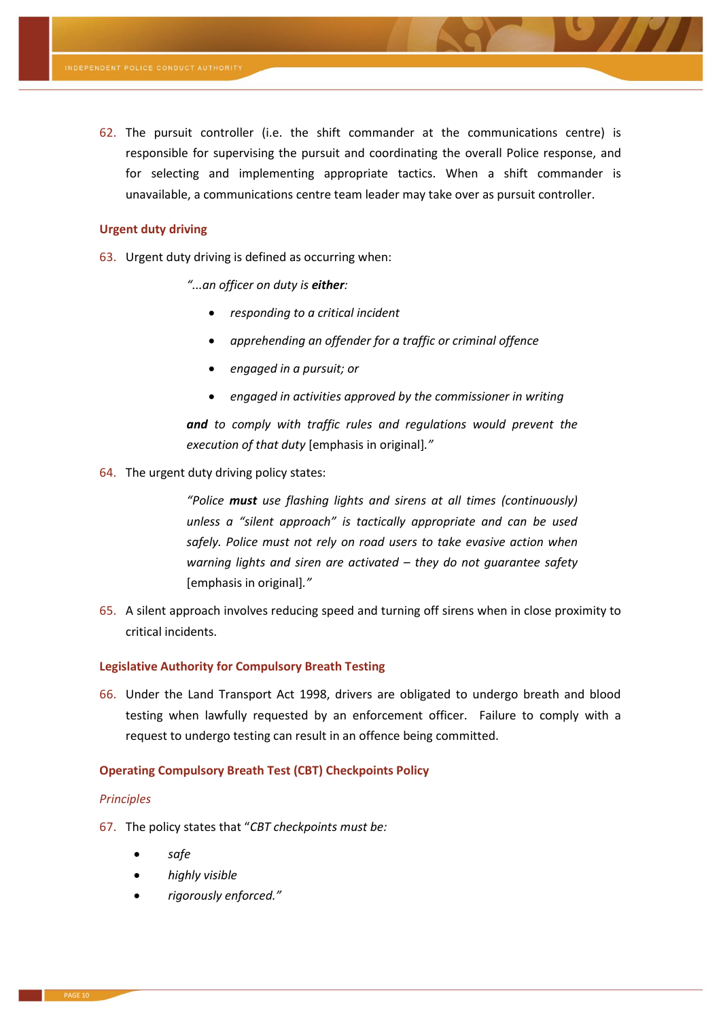<span id="page-9-3"></span>62. The pursuit controller (i.e. the shift commander at the communications centre) is responsible for supervising the pursuit and coordinating the overall Police response, and for selecting and implementing appropriate tactics. When a shift commander is unavailable, a communications centre team leader may take over as pursuit controller.

#### **Urgent duty driving**

- <span id="page-9-1"></span>63. Urgent duty driving is defined as occurring when:
	- *"...an officer on duty is either:*
		- *responding to a critical incident*
		- *apprehending an offender for a traffic or criminal offence*
		- *engaged in a pursuit; or*
		- *engaged in activities approved by the commissioner in writing*

*and to comply with traffic rules and regulations would prevent the execution of that duty* [emphasis in original]*."*

<span id="page-9-2"></span>64. The urgent duty driving policy states:

*"Police must use flashing lights and sirens at all times (continuously) unless a "silent approach" is tactically appropriate and can be used safely. Police must not rely on road users to take evasive action when warning lights and siren are activated – they do not guarantee safety*  [emphasis in original]*."*

65. A silent approach involves reducing speed and turning off sirens when in close proximity to critical incidents.

# **Legislative Authority for Compulsory Breath Testing**

<span id="page-9-0"></span>66. Under the Land Transport Act 1998, drivers are obligated to undergo breath and blood testing when lawfully requested by an enforcement officer. Failure to comply with a request to undergo testing can result in an offence being committed.

# **Operating Compulsory Breath Test (CBT) Checkpoints Policy**

#### *Principles*

- 67. The policy states that "*CBT checkpoints must be:*
	- *safe*
	- *highly visible*
	- *rigorously enforced."*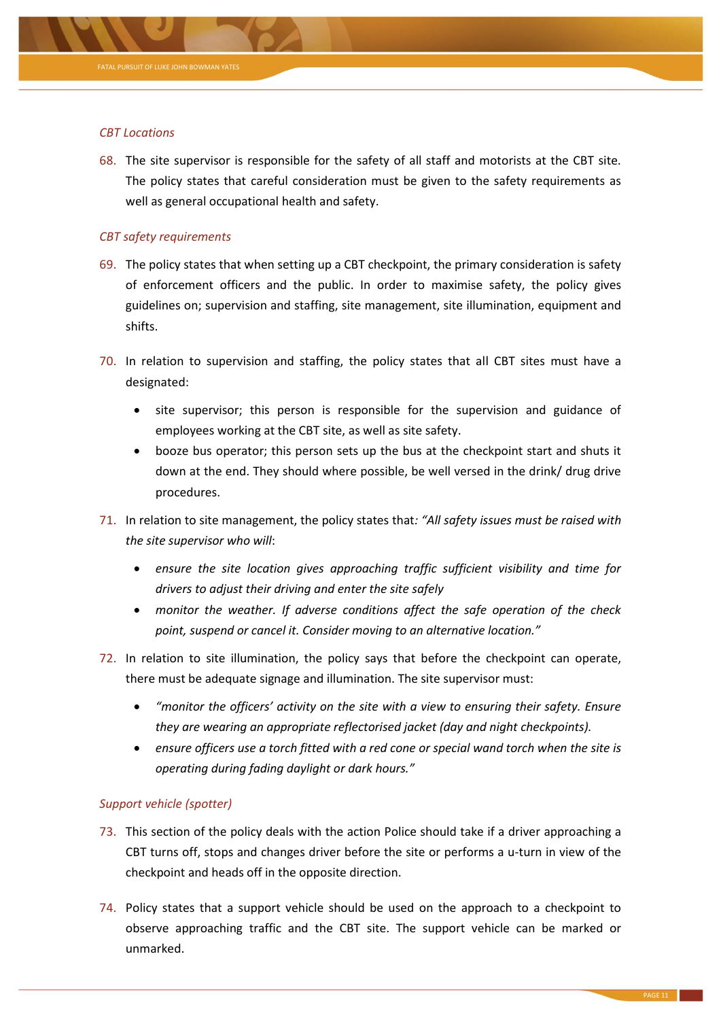

# *CBT Locations*

<span id="page-10-0"></span>68. The site supervisor is responsible for the safety of all staff and motorists at the CBT site. The policy states that careful consideration must be given to the safety requirements as well as general occupational health and safety.

# *CBT safety requirements*

- 69. The policy states that when setting up a CBT checkpoint, the primary consideration is safety of enforcement officers and the public. In order to maximise safety, the policy gives guidelines on; supervision and staffing, site management, site illumination, equipment and shifts.
- 70. In relation to supervision and staffing, the policy states that all CBT sites must have a designated:
	- site supervisor; this person is responsible for the supervision and guidance of employees working at the CBT site, as well as site safety.
	- booze bus operator; this person sets up the bus at the checkpoint start and shuts it down at the end. They should where possible, be well versed in the drink/ drug drive procedures.
- 71. In relation to site management, the policy states that*: "All safety issues must be raised with the site supervisor who will*:
	- *ensure the site location gives approaching traffic sufficient visibility and time for drivers to adjust their driving and enter the site safely*
	- *monitor the weather. If adverse conditions affect the safe operation of the check point, suspend or cancel it. Consider moving to an alternative location."*
- <span id="page-10-1"></span>72. In relation to site illumination, the policy says that before the checkpoint can operate, there must be adequate signage and illumination. The site supervisor must:
	- *"monitor the officers' activity on the site with a view to ensuring their safety. Ensure they are wearing an appropriate reflectorised jacket (day and night checkpoints).*
	- *ensure officers use a torch fitted with a red cone or special wand torch when the site is operating during fading daylight or dark hours."*

# *Support vehicle (spotter)*

- 73. This section of the policy deals with the action Police should take if a driver approaching a CBT turns off, stops and changes driver before the site or performs a u-turn in view of the checkpoint and heads off in the opposite direction.
- 74. Policy states that a support vehicle should be used on the approach to a checkpoint to observe approaching traffic and the CBT site. The support vehicle can be marked or unmarked.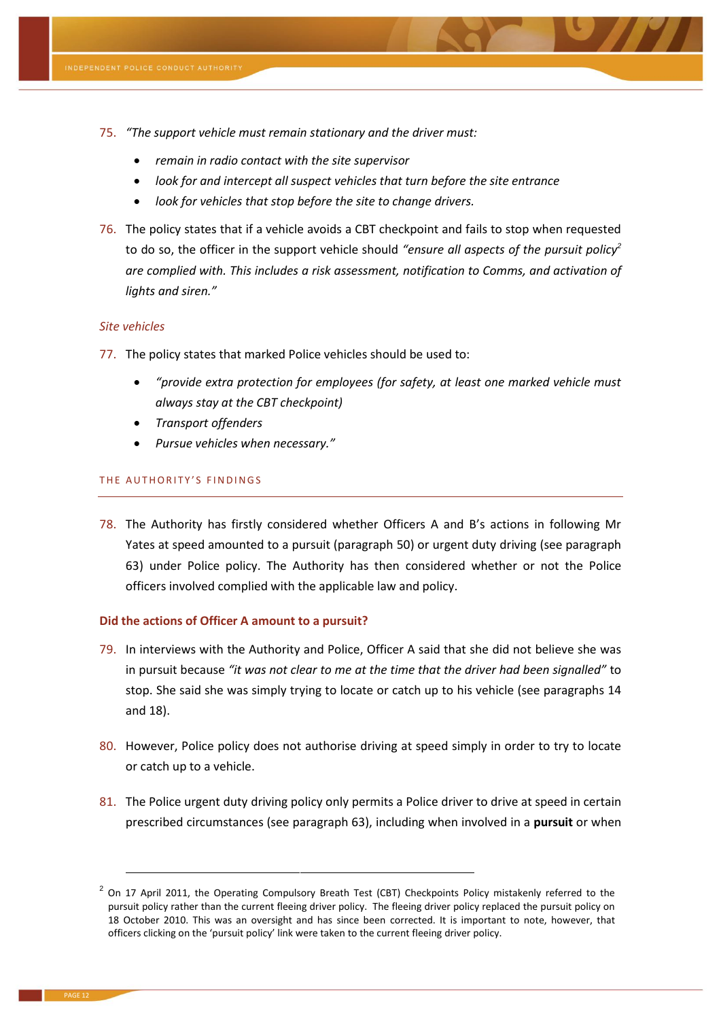- 75. *"The support vehicle must remain stationary and the driver must:*
	- *remain in radio contact with the site supervisor*
	- *look for and intercept all suspect vehicles that turn before the site entrance*
	- *look for vehicles that stop before the site to change drivers.*
- <span id="page-11-2"></span>76. The policy states that if a vehicle avoids a CBT checkpoint and fails to stop when requested to do so, the officer in the support vehicle should *"ensure all aspects of the pursuit policy<sup>2</sup> are complied with. This includes a risk assessment, notification to Comms, and activation of lights and siren."*

# *Site vehicles*

- <span id="page-11-0"></span>77. The policy states that marked Police vehicles should be used to:
	- *"provide extra protection for employees (for safety, at least one marked vehicle must always stay at the CBT checkpoint)*
	- *Transport offenders*
	- *Pursue vehicles when necessary."*

# THE AUTHORITY'S FINDINGS

78. The Authority has firstly considered whether Officers A and B's actions in following Mr Yates at speed amounted to a pursuit (paragraph [50\)](#page-6-0) or urgent duty driving (see paragraph [63\)](#page-9-1) under Police policy. The Authority has then considered whether or not the Police officers involved complied with the applicable law and policy.

# **Did the actions of Officer A amount to a pursuit?**

- <span id="page-11-1"></span>79. In interviews with the Authority and Police, Officer A said that she did not believe she was in pursuit because *"it was not clear to me at the time that the driver had been signalled"* to stop. She said she was simply trying to locate or catch up to his vehicle (see paragraphs [14](#page-1-0) and [18\)](#page-2-1).
- 80. However, Police policy does not authorise driving at speed simply in order to try to locate or catch up to a vehicle.
- 81. The Police urgent duty driving policy only permits a Police driver to drive at speed in certain prescribed circumstances (see paragraph [63\)](#page-9-1), including when involved in a **pursuit** or when

**.** 

 $^{2}$  On 17 April 2011, the Operating Compulsory Breath Test (CBT) Checkpoints Policy mistakenly referred to the pursuit policy rather than the current fleeing driver policy. The fleeing driver policy replaced the pursuit policy on 18 October 2010. This was an oversight and has since been corrected. It is important to note, however, that officers clicking on the 'pursuit policy' link were taken to the current fleeing driver policy.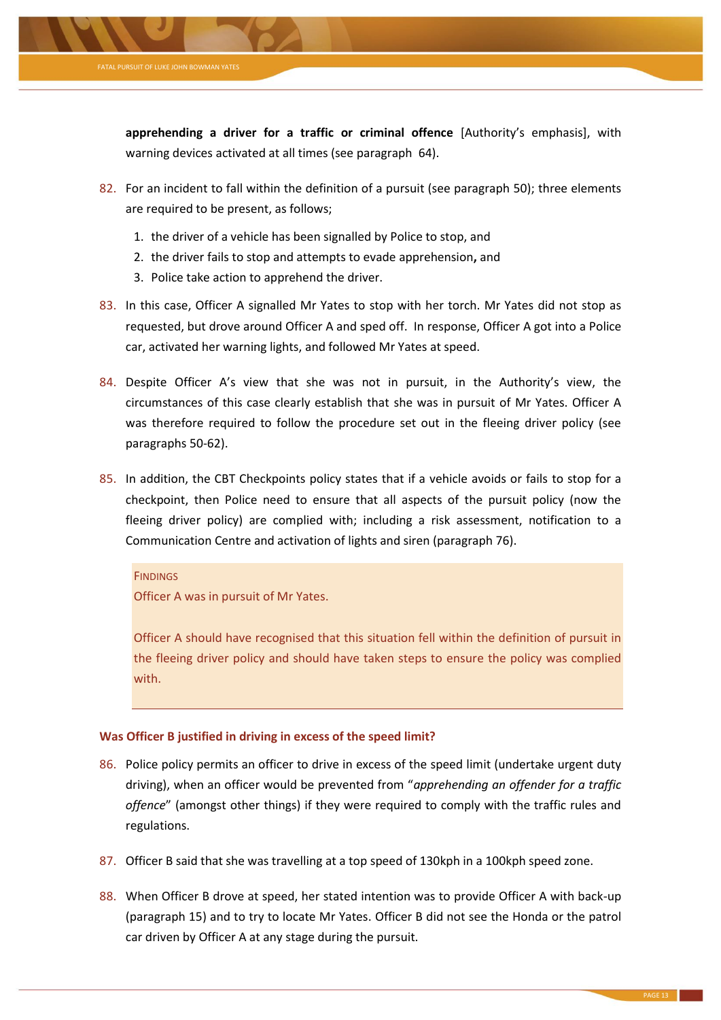

**apprehending a driver for a traffic or criminal offence** [Authority's emphasis], with warning devices activated at all times (see paragraph [64\)](#page-9-2).

- 82. For an incident to fall within the definition of a pursuit (see paragraph [50\)](#page-6-0); three elements are required to be present, as follows;
	- 1. the driver of a vehicle has been signalled by Police to stop, and
	- 2. the driver fails to stop and attempts to evade apprehension**,** and
	- 3. Police take action to apprehend the driver.
- 83. In this case, Officer A signalled Mr Yates to stop with her torch. Mr Yates did not stop as requested, but drove around Officer A and sped off. In response, Officer A got into a Police car, activated her warning lights, and followed Mr Yates at speed.
- 84. Despite Officer A's view that she was not in pursuit, in the Authority's view, the circumstances of this case clearly establish that she was in pursuit of Mr Yates. Officer A was therefore required to follow the procedure set out in the fleeing driver policy (see paragraphs [50](#page-6-0)[-62\)](#page-9-3).
- <span id="page-12-0"></span>85. In addition, the CBT Checkpoints policy states that if a vehicle avoids or fails to stop for a checkpoint, then Police need to ensure that all aspects of the pursuit policy (now the fleeing driver policy) are complied with; including a risk assessment, notification to a Communication Centre and activation of lights and siren (paragrap[h 76\)](#page-11-2).

# **FINDINGS**

Officer A was in pursuit of Mr Yates.

Officer A should have recognised that this situation fell within the definition of pursuit in the fleeing driver policy and should have taken steps to ensure the policy was complied with.

# **Was Officer B justified in driving in excess of the speed limit?**

- <span id="page-12-1"></span>86. Police policy permits an officer to drive in excess of the speed limit (undertake urgent duty driving), when an officer would be prevented from "*apprehending an offender for a traffic offence*" (amongst other things) if they were required to comply with the traffic rules and regulations.
- 87. Officer B said that she was travelling at a top speed of 130kph in a 100kph speed zone.
- 88. When Officer B drove at speed, her stated intention was to provide Officer A with back-up (paragraph [15\)](#page-1-1) and to try to locate Mr Yates. Officer B did not see the Honda or the patrol car driven by Officer A at any stage during the pursuit.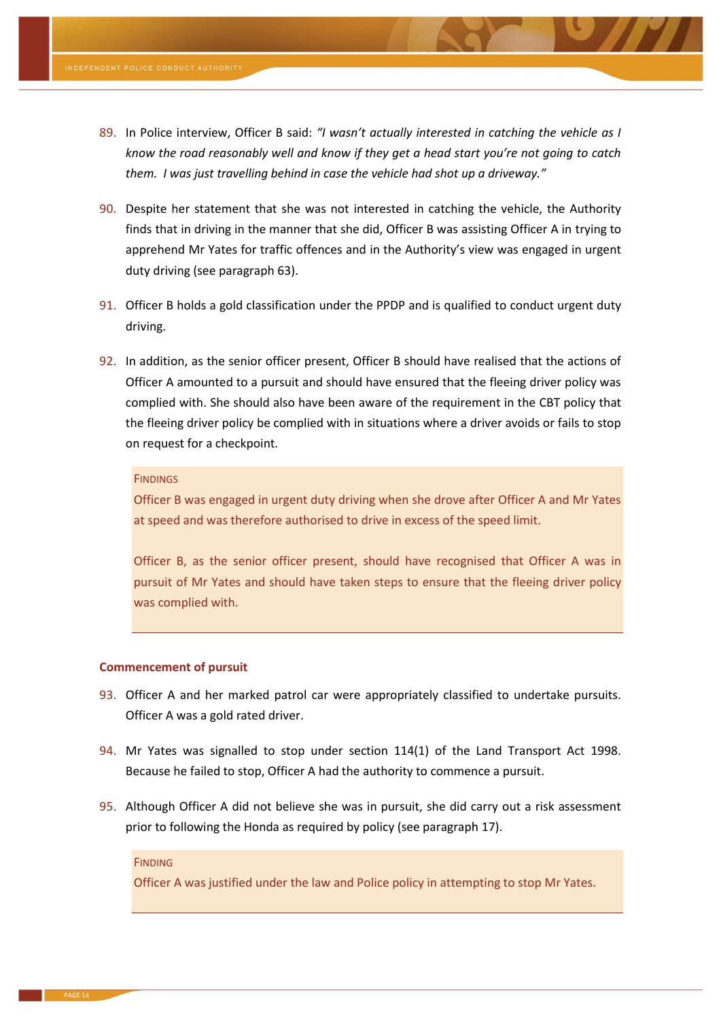- 89. In Police interview, Officer B said: *"I wasn't actually interested in catching the vehicle as I know the road reasonably well and know if they get a head start you're not going to catch them. I was just travelling behind in case the vehicle had shot up a driveway."*
- 90. Despite her statement that she was not interested in catching the vehicle, the Authority finds that in driving in the manner that she did, Officer B was assisting Officer A in trying to apprehend Mr Yates for traffic offences and in the Authority's view was engaged in urgent duty driving (see paragraph [63\)](#page-9-1).
- 91. Officer B holds a gold classification under the PPDP and is qualified to conduct urgent duty driving.
- <span id="page-13-0"></span>92. In addition, as the senior officer present, Officer B should have realised that the actions of Officer A amounted to a pursuit and should have ensured that the fleeing driver policy was complied with. She should also have been aware of the requirement in the CBT policy that the fleeing driver policy be complied with in situations where a driver avoids or fails to stop on request for a checkpoint.

#### **FINDINGS**

Officer B was engaged in urgent duty driving when she drove after Officer A and Mr Yates at speed and was therefore authorised to drive in excess of the speed limit.

Officer B, as the senior officer present, should have recognised that Officer A was in pursuit of Mr Yates and should have taken steps to ensure that the fleeing driver policy was complied with.

#### **Commencement of pursuit**

- 93. Officer A and her marked patrol car were appropriately classified to undertake pursuits. Officer A was a gold rated driver.
- 94. Mr Yates was signalled to stop under section 114(1) of the Land Transport Act 1998. Because he failed to stop, Officer A had the authority to commence a pursuit.
- 95. Although Officer A did not believe she was in pursuit, she did carry out a risk assessment prior to following the Honda as required by policy (see paragraph [17\)](#page-2-0).

#### **FINDING**

Officer A was justified under the law and Police policy in attempting to stop Mr Yates.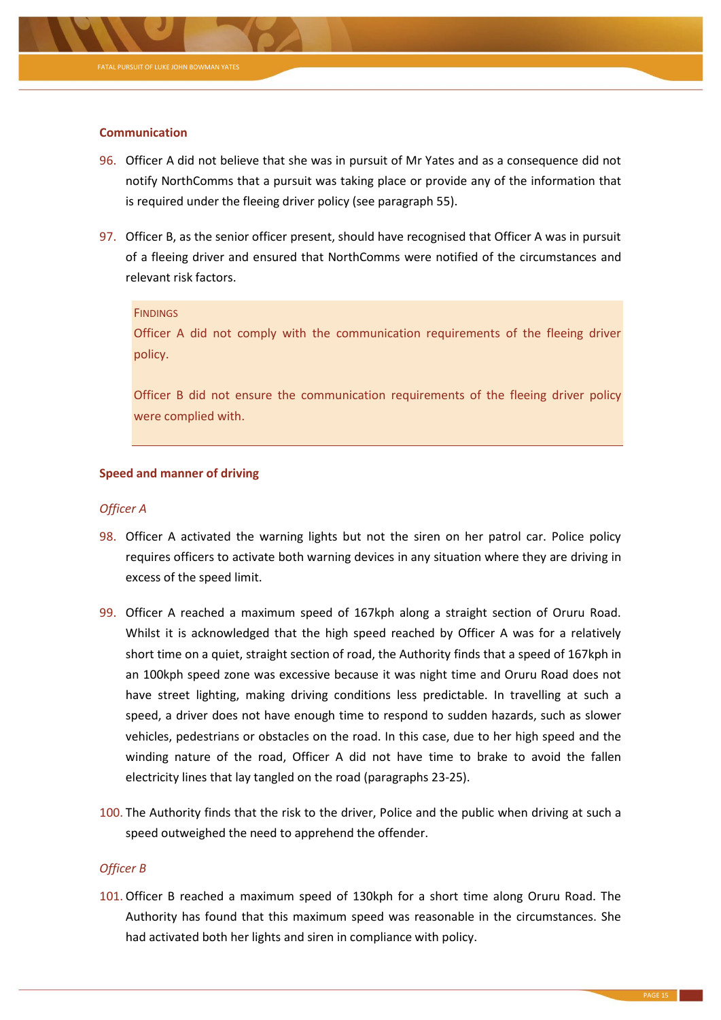

# **Communication**

- 96. Officer A did not believe that she was in pursuit of Mr Yates and as a consequence did not notify NorthComms that a pursuit was taking place or provide any of the information that is required under the fleeing driver policy (see paragraph [55\)](#page-7-0).
- 97. Officer B, as the senior officer present, should have recognised that Officer A was in pursuit of a fleeing driver and ensured that NorthComms were notified of the circumstances and relevant risk factors.

#### **FINDINGS**

Officer A did not comply with the communication requirements of the fleeing driver policy.

Officer B did not ensure the communication requirements of the fleeing driver policy were complied with.

# **Speed and manner of driving**

# *Officer A*

- 98. Officer A activated the warning lights but not the siren on her patrol car. Police policy requires officers to activate both warning devices in any situation where they are driving in excess of the speed limit.
- 99. Officer A reached a maximum speed of 167kph along a straight section of Oruru Road. Whilst it is acknowledged that the high speed reached by Officer A was for a relatively short time on a quiet, straight section of road, the Authority finds that a speed of 167kph in an 100kph speed zone was excessive because it was night time and Oruru Road does not have street lighting, making driving conditions less predictable. In travelling at such a speed, a driver does not have enough time to respond to sudden hazards, such as slower vehicles, pedestrians or obstacles on the road. In this case, due to her high speed and the winding nature of the road, Officer A did not have time to brake to avoid the fallen electricity lines that lay tangled on the road (paragraph[s 23](#page-3-0)[-25\)](#page-3-1).
- 100. The Authority finds that the risk to the driver, Police and the public when driving at such a speed outweighed the need to apprehend the offender.

# *Officer B*

101. Officer B reached a maximum speed of 130kph for a short time along Oruru Road. The Authority has found that this maximum speed was reasonable in the circumstances. She had activated both her lights and siren in compliance with policy.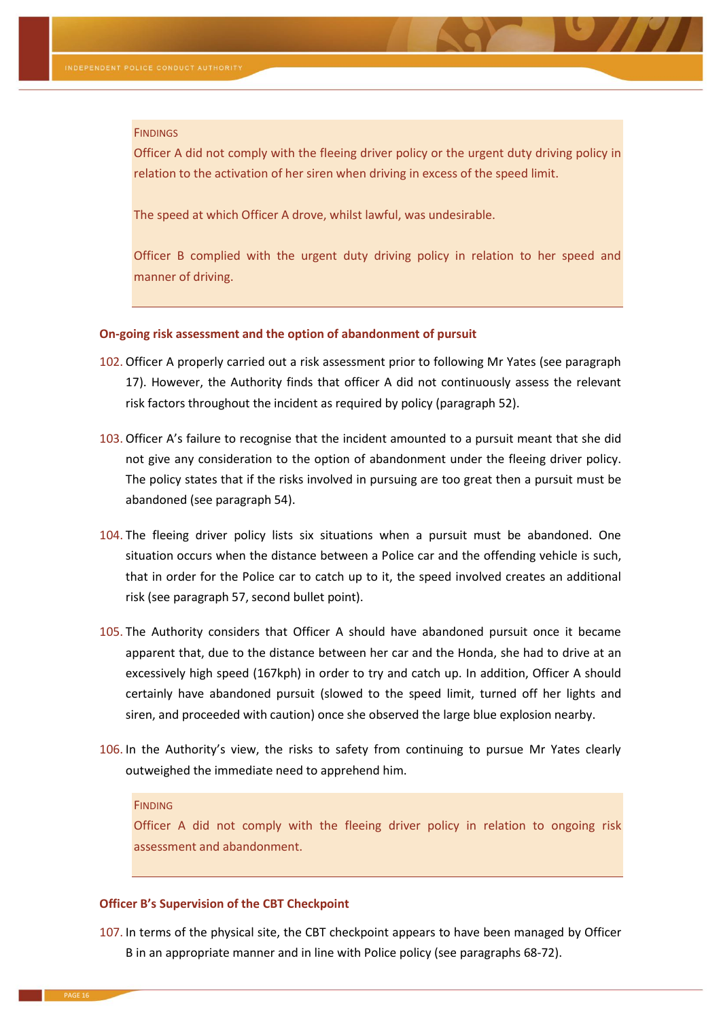#### **FINDINGS**

Officer A did not comply with the fleeing driver policy or the urgent duty driving policy in relation to the activation of her siren when driving in excess of the speed limit.

The speed at which Officer A drove, whilst lawful, was undesirable.

Officer B complied with the urgent duty driving policy in relation to her speed and manner of driving.

#### **On-going risk assessment and the option of abandonment of pursuit**

- 102. Officer A properly carried out a risk assessment prior to following Mr Yates (see paragraph [17\)](#page-2-0). However, the Authority finds that officer A did not continuously assess the relevant risk factors throughout the incident as required by policy (paragraph [52\)](#page-6-1).
- 103. Officer A's failure to recognise that the incident amounted to a pursuit meant that she did not give any consideration to the option of abandonment under the fleeing driver policy. The policy states that if the risks involved in pursuing are too great then a pursuit must be abandoned (see paragraph [54\)](#page-7-1).
- 104. The fleeing driver policy lists six situations when a pursuit must be abandoned. One situation occurs when the distance between a Police car and the offending vehicle is such, that in order for the Police car to catch up to it, the speed involved creates an additional risk (see paragrap[h 57,](#page-7-2) second bullet point).
- 105. The Authority considers that Officer A should have abandoned pursuit once it became apparent that, due to the distance between her car and the Honda, she had to drive at an excessively high speed (167kph) in order to try and catch up. In addition, Officer A should certainly have abandoned pursuit (slowed to the speed limit, turned off her lights and siren, and proceeded with caution) once she observed the large blue explosion nearby.
- 106. In the Authority's view, the risks to safety from continuing to pursue Mr Yates clearly outweighed the immediate need to apprehend him.

#### **FINDING**

Officer A did not comply with the fleeing driver policy in relation to ongoing risk assessment and abandonment.

#### **Officer B's Supervision of the CBT Checkpoint**

<span id="page-15-0"></span>107. In terms of the physical site, the CBT checkpoint appears to have been managed by Officer B in an appropriate manner and in line with Police policy (see paragraphs [68](#page-10-0)[-72\)](#page-10-1).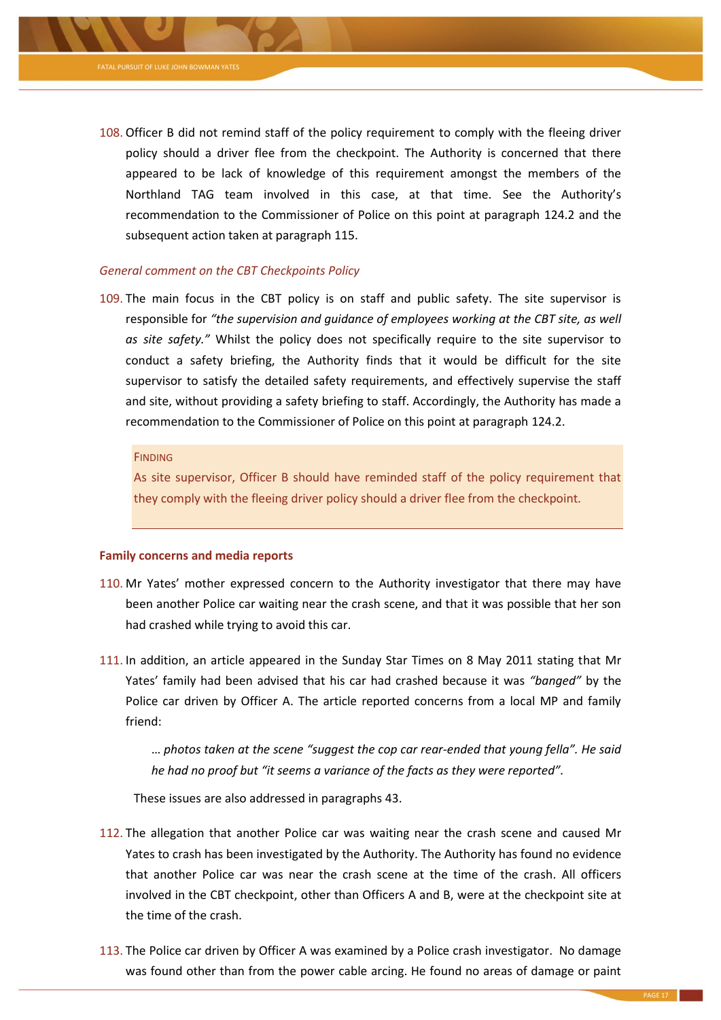

<span id="page-16-0"></span>108. Officer B did not remind staff of the policy requirement to comply with the fleeing driver policy should a driver flee from the checkpoint. The Authority is concerned that there appeared to be lack of knowledge of this requirement amongst the members of the Northland TAG team involved in this case, at that time. See the Authority's recommendation to the Commissioner of Police on this point at paragraph [124.2](#page-18-1) and the subsequent action taken at paragraph [115.](#page-17-0)

# *General comment on the CBT Checkpoints Policy*

109. The main focus in the CBT policy is on staff and public safety. The site supervisor is responsible for *"the supervision and guidance of employees working at the CBT site, as well as site safety."* Whilst the policy does not specifically require to the site supervisor to conduct a safety briefing, the Authority finds that it would be difficult for the site supervisor to satisfy the detailed safety requirements, and effectively supervise the staff and site, without providing a safety briefing to staff. Accordingly, the Authority has made a recommendation to the Commissioner of Police on this point at paragraph [124.2.](#page-18-1)

#### **FINDING**

As site supervisor, Officer B should have reminded staff of the policy requirement that they comply with the fleeing driver policy should a driver flee from the checkpoint.

# **Family concerns and media reports**

- <span id="page-16-1"></span>110. Mr Yates' mother expressed concern to the Authority investigator that there may have been another Police car waiting near the crash scene, and that it was possible that her son had crashed while trying to avoid this car.
- 111. In addition, an article appeared in the Sunday Star Times on 8 May 2011 stating that Mr Yates' family had been advised that his car had crashed because it was *"banged"* by the Police car driven by Officer A. The article reported concerns from a local MP and family friend:

… *photos taken at the scene "suggest the cop car rear-ended that young fella". He said he had no proof but "it seems a variance of the facts as they were reported".* 

These issues are also addressed in paragraphs [43.](#page-5-0)

- 112. The allegation that another Police car was waiting near the crash scene and caused Mr Yates to crash has been investigated by the Authority. The Authority has found no evidence that another Police car was near the crash scene at the time of the crash. All officers involved in the CBT checkpoint, other than Officers A and B, were at the checkpoint site at the time of the crash.
- <span id="page-16-2"></span>113. The Police car driven by Officer A was examined by a Police crash investigator. No damage was found other than from the power cable arcing. He found no areas of damage or paint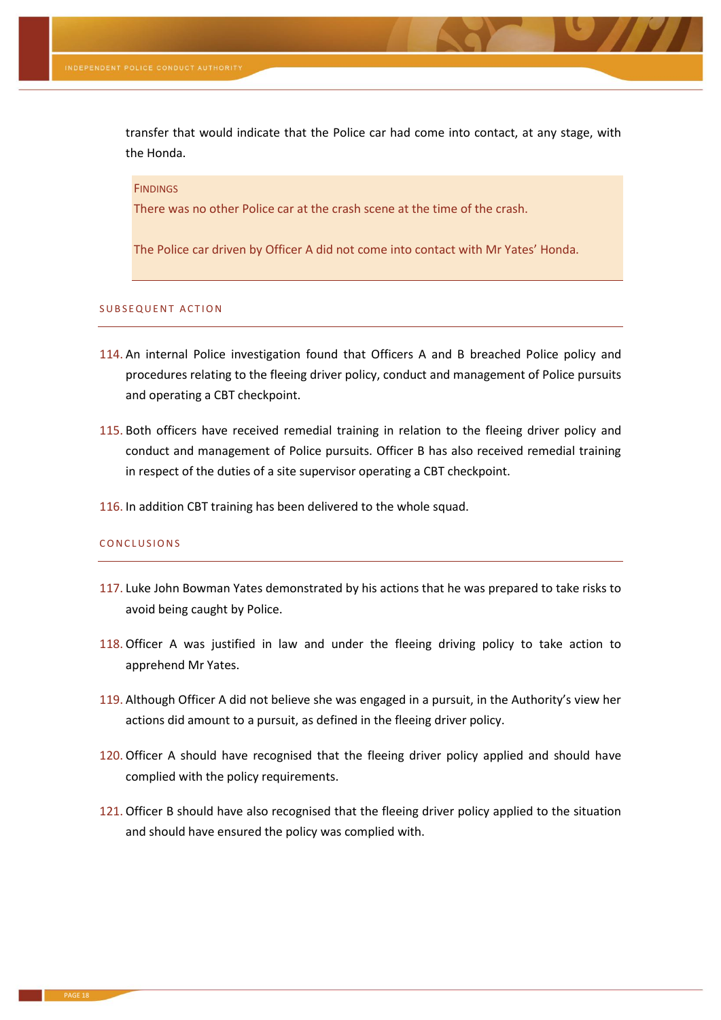transfer that would indicate that the Police car had come into contact, at any stage, with the Honda.

#### **FINDINGS**

There was no other Police car at the crash scene at the time of the crash.

The Police car driven by Officer A did not come into contact with Mr Yates' Honda.

#### SUBSEQUENT ACTION

- 114. An internal Police investigation found that Officers A and B breached Police policy and procedures relating to the fleeing driver policy, conduct and management of Police pursuits and operating a CBT checkpoint.
- <span id="page-17-0"></span>115. Both officers have received remedial training in relation to the fleeing driver policy and conduct and management of Police pursuits. Officer B has also received remedial training in respect of the duties of a site supervisor operating a CBT checkpoint.
- 116. In addition CBT training has been delivered to the whole squad.

#### CONCLUSIONS

- 117. Luke John Bowman Yates demonstrated by his actions that he was prepared to take risks to avoid being caught by Police.
- 118. Officer A was justified in law and under the fleeing driving policy to take action to apprehend Mr Yates.
- 119. Although Officer A did not believe she was engaged in a pursuit, in the Authority's view her actions did amount to a pursuit, as defined in the fleeing driver policy.
- 120. Officer A should have recognised that the fleeing driver policy applied and should have complied with the policy requirements.
- 121. Officer B should have also recognised that the fleeing driver policy applied to the situation and should have ensured the policy was complied with.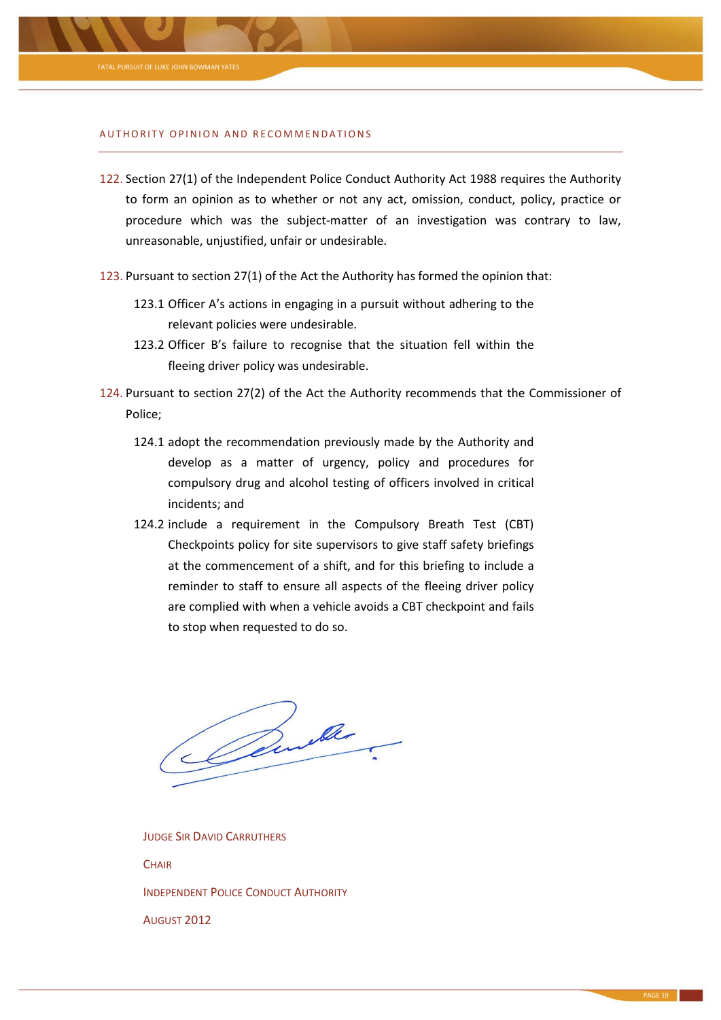

#### AUTHORITY OPINION AND RECOMMENDATIONS

- 122. Section 27(1) of the Independent Police Conduct Authority Act 1988 requires the Authority to form an opinion as to whether or not any act, omission, conduct, policy, practice or procedure which was the subject-matter of an investigation was contrary to law, unreasonable, unjustified, unfair or undesirable.
- 123. Pursuant to section 27(1) of the Act the Authority has formed the opinion that:
	- 123.1 Officer A's actions in engaging in a pursuit without adhering to the relevant policies were undesirable.
	- 123.2 Officer B's failure to recognise that the situation fell within the fleeing driver policy was undesirable.
- <span id="page-18-1"></span><span id="page-18-0"></span>124. Pursuant to section 27(2) of the Act the Authority recommends that the Commissioner of Police;
	- 124.1 adopt the recommendation previously made by the Authority and develop as a matter of urgency, policy and procedures for compulsory drug and alcohol testing of officers involved in critical incidents; and
	- 124.2 include a requirement in the Compulsory Breath Test (CBT) Checkpoints policy for site supervisors to give staff safety briefings at the commencement of a shift, and for this briefing to include a reminder to staff to ensure all aspects of the fleeing driver policy are complied with when a vehicle avoids a CBT checkpoint and fails to stop when requested to do so.

Perthe

JUDGE SIR DAVID CARRUTHERS **CHAIR** INDEPENDENT POLICE CONDUCT AUTHORITY AUGUST 2012